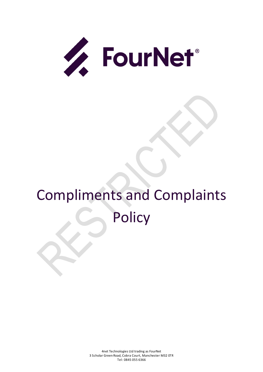

# Compliments and Complaints **Policy**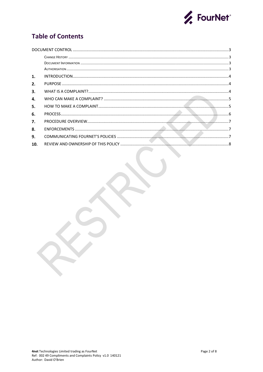

# **Table of Contents**

| 1.  |  |
|-----|--|
| 2.  |  |
| 3.  |  |
| 4.  |  |
| 5.  |  |
| 6.  |  |
| 7.  |  |
| 8.  |  |
| 9.  |  |
| 10. |  |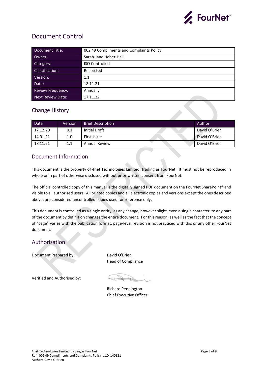

## <span id="page-2-0"></span>Document Control

| Document Title:          | 002 49 Compliments and Complaints Policy |
|--------------------------|------------------------------------------|
| Owner:                   | Sarah-Jane Heber-Hall                    |
| Category:                | <b>ISO Controlled</b>                    |
| Classification:          | Restricted                               |
| Version:                 | 1.1                                      |
| Date:                    | 18.11.21                                 |
| <b>Review Frequency:</b> | Annually                                 |
| <b>Next Review Date:</b> | 17.11.22                                 |

## <span id="page-2-1"></span>Change History

| Date     | Version | <b>Brief Description</b> | Author        |
|----------|---------|--------------------------|---------------|
| 17.12.20 | 0.1     | Initial Draft            | David O'Brien |
| 14.01.21 | 1.0     | First Issue              | David O'Brien |
| 18.11.21 | 1.1     | Annual Review            | David O'Brien |

## <span id="page-2-2"></span>Document Information

This document is the property of 4net Technologies Limited, trading as FourNet. It must not be reproduced in whole or in part of otherwise disclosed without prior written consent from FourNet.

The official controlled copy of this manual is the digitally signed PDF document on the FourNet SharePoint® and visible to all authorised users. All printed copies and all electronic copies and versions except the ones described above, are considered uncontrolled copies used for reference only.

This document is controlled as a single entity, as any change, however slight, even a single character, to any part of the document by definition changes the entire document. For this reason, as well as the fact that the concept of "page" varies with the publication format, page-level revision is not practiced with this or any other FourNet document.

## <span id="page-2-3"></span>Authorisation

Document Prepared by: David O'Brien

Head of Compliance

Verified and Authorised by:

Richard Pennington Chief Executive Officer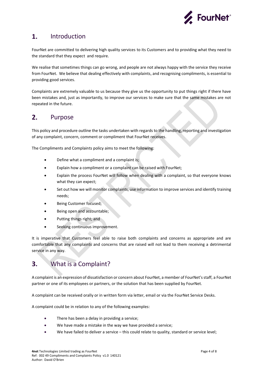

#### <span id="page-3-0"></span> $1.$ Introduction

FourNet are committed to delivering high quality services to its Customers and to providing what they need to the standard that they expect and require.

We realise that sometimes things can go wrong, and people are not always happy with the service they receive from FourNet. We believe that dealing effectively with complaints, and recognising compliments, is essential to providing good services.

Complaints are extremely valuable to us because they give us the opportunity to put things right if there have been mistakes and, just as importantly, to improve our services to make sure that the same mistakes are not repeated in the future.

#### <span id="page-3-1"></span> $2.$ Purpose

This policy and procedure outline the tasks undertaken with regards to the handling, reporting and investigation of any complaint, concern, comment or compliment that FourNet receives.

The Compliments and Complaints policy aims to meet the following:

- Define what a compliment and a complaint is;
- Explain how a compliment or a complaint can be raised with FourNet;
- Explain the process FourNet will follow when dealing with a complaint, so that everyone knows what they can expect;
- Set out how we will monitor complaints, use information to improve services and identify training needs;
- Being Customer focused;
- Being open and accountable;
- Putting things right; and
- Seeking continuous improvement.

It is imperative that Customers feel able to raise both complaints and concerns as appropriate and are comfortable that any complaints and concerns that are raised will not lead to them receiving a detrimental service in any way.

#### <span id="page-3-2"></span> $\overline{3}$ . What is a Complaint?

A complaint is an expression of dissatisfaction or concern about FourNet, a member of FourNet'sstaff, a FourNet partner or one of its employees or partners, or the solution that has been supplied by FourNet.

A complaint can be received orally or in written form via letter, email or via the FourNet Service Desks.

A complaint could be in relation to any of the following examples:

- There has been a delay in providing a service;
- We have made a mistake in the way we have provided a service;
- We have failed to deliver a service this could relate to quality, standard or service level;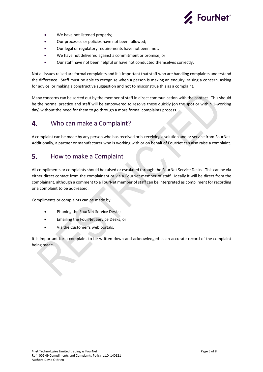

- We have not listened properly;
- Our processes or policies have not been followed;
- Our legal or regulatory requirements have not been met;
- We have not delivered against a commitment or promise; or
- Our staff have not been helpful or have not conducted themselves correctly.

Not all issues raised are formal complaints and it is important that staff who are handling complaints understand the difference. Staff must be able to recognise when a person is making an enquiry, raising a concern, asking for advice, or making a constructive suggestion and not to misconstrue this as a complaint.

Many concerns can be sorted out by the member of staff in direct communication with the contact. This should be the normal practice and staff will be empowered to resolve these quickly (on the spot or within 1-working day) without the need for them to go through a more formal complaints process.

#### <span id="page-4-0"></span>4. Who can make a Complaint?

A complaint can be made by any person who has received or is receiving a solution and or service from FourNet. Additionally, a partner or manufacturer who is working with or on behalf of FourNet can also raise a complaint.

#### <span id="page-4-1"></span>How to make a Complaint 5.

All compliments or complaints should be raised or escalated through the FourNet Service Desks. This can be via either direct contact from the complainant or via a FourNet member of staff. Ideally it will be direct from the complainant, although a comment to a FourNet member of staff can be interpreted as compliment for recording or a complaint to be addressed.

Compliments or complaints can be made by;

- Phoning the FourNet Service Desks;
- Emailing the FourNet Service Desks; or
- Via the Customer's web portals.

It is important for a complaint to be written down and acknowledged as an accurate record of the complaint being made.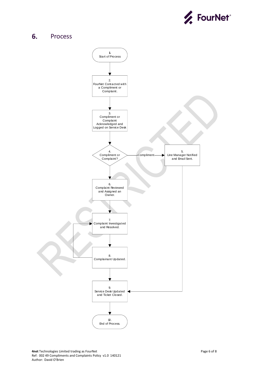

#### <span id="page-5-0"></span>6. Process

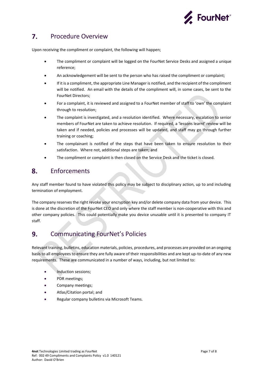

#### <span id="page-6-0"></span> $\mathbf{7}$ . Procedure Overview

Upon receiving the compliment or complaint, the following will happen;

- The compliment or complaint will be logged on the FourNet Service Desks and assigned a unique reference;
- An acknowledgement will be sent to the person who has raised the compliment or complaint;
- If it is a compliment, the appropriate Line Manager is notified, and the recipient of the compliment will be notified. An email with the details of the compliment will, in some cases, be sent to the FourNet Directors;
- For a complaint, it is reviewed and assigned to a FourNet member of staff to 'own' the complaint through to resolution;
- The complaint is investigated, and a resolution identified. Where necessary, escalation to senior members of FourNet are taken to achieve resolution. If required, a 'lessons learnt' review will be taken and if needed, policies and processes will be updated, and staff may go through further training or coaching;
- The complainant is notified of the steps that have been taken to ensure resolution to their satisfaction. Where not, additional steps are taken; and
- The compliment or complaint is then closed on the Service Desk and the ticket is closed.

#### <span id="page-6-1"></span>8. **Enforcements**

Any staff member found to have violated this policy may be subject to disciplinary action, up to and including termination of employment.

The company reserves the right revoke your encryption key and/or delete company data from your device. This is done at the discretion of the FourNet CEO and only where the staff member is non-cooperative with this and other company policies. This could potentially make you device unusable until it is presented to company IT staff.

#### <span id="page-6-2"></span>Communicating FourNet's Policies 9.

Relevant training, bulletins, education materials, policies, procedures, and processes are provided on an ongoing basis to all employees to ensure they are fully aware of their responsibilities and are kept up-to-date of any new requirements. These are communicated in a number of ways, including, but not limited to:

- Induction sessions;
- PDR meetings;
- Company meetings;
- Atlas/Citation portal; and
- Regular company bulletins via Microsoft Teams.